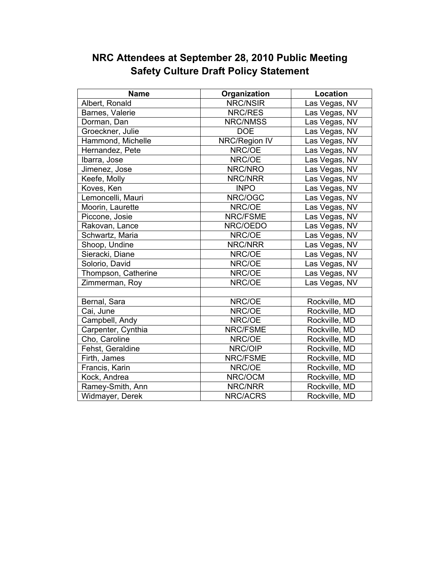| <b>Name</b>         | Organization    | Location      |
|---------------------|-----------------|---------------|
| Albert, Ronald      | <b>NRC/NSIR</b> | Las Vegas, NV |
| Barnes, Valerie     | NRC/RES         | Las Vegas, NV |
| Dorman, Dan         | NRC/NMSS        | Las Vegas, NV |
| Groeckner, Julie    | <b>DOE</b>      | Las Vegas, NV |
| Hammond, Michelle   | NRC/Region IV   | Las Vegas, NV |
| Hernandez, Pete     | NRC/OE          | Las Vegas, NV |
| Ibarra, Jose        | NRC/OE          | Las Vegas, NV |
| Jimenez, Jose       | NRC/NRO         | Las Vegas, NV |
| Keefe, Molly        | NRC/NRR         | Las Vegas, NV |
| Koves, Ken          | <b>INPO</b>     | Las Vegas, NV |
| Lemoncelli, Mauri   | NRC/OGC         | Las Vegas, NV |
| Moorin, Laurette    | NRC/OE          | Las Vegas, NV |
| Piccone, Josie      | NRC/FSME        | Las Vegas, NV |
| Rakovan, Lance      | NRC/OEDO        | Las Vegas, NV |
| Schwartz, Maria     | NRC/OE          | Las Vegas, NV |
| Shoop, Undine       | NRC/NRR         | Las Vegas, NV |
| Sieracki, Diane     | NRC/OE          | Las Vegas, NV |
| Solorio, David      | NRC/OE          | Las Vegas, NV |
| Thompson, Catherine | NRC/OE          | Las Vegas, NV |
| Zimmerman, Roy      | NRC/OE          | Las Vegas, NV |
|                     |                 |               |
| Bernal, Sara        | NRC/OE          | Rockville, MD |
| Cai, June           | NRC/OE          | Rockville, MD |
| Campbell, Andy      | NRC/OE          | Rockville, MD |
| Carpenter, Cynthia  | NRC/FSME        | Rockville, MD |
| Cho, Caroline       | NRC/OE          | Rockville, MD |
| Fehst, Geraldine    | NRC/OIP         | Rockville, MD |
| Firth, James        | NRC/FSME        | Rockville, MD |
| Francis, Karin      | NRC/OE          | Rockville, MD |
| Kock, Andrea        | NRC/OCM         | Rockville, MD |
| Ramey-Smith, Ann    | NRC/NRR         | Rockville, MD |
| Widmayer, Derek     | NRC/ACRS        | Rockville, MD |

## **NRC Attendees at September 28, 2010 Public Meeting Safety Culture Draft Policy Statement**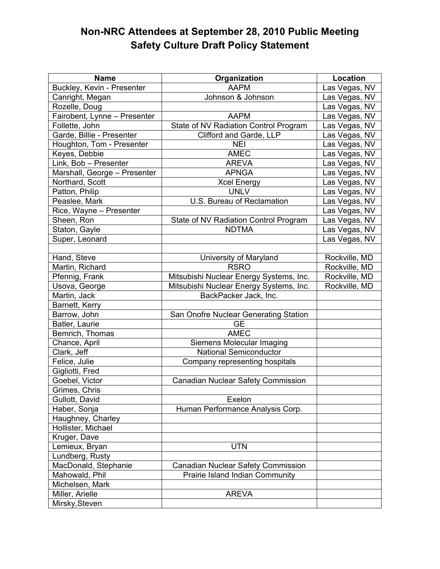## **Non-NRC Attendees at September 28, 2010 Public Meeting Safety Culture Draft Policy Statement**

| <b>Name</b>                  | Organization                            | <b>Location</b> |
|------------------------------|-----------------------------------------|-----------------|
| Buckley, Kevin - Presenter   | <b>AAPM</b>                             | Las Vegas, NV   |
| Canright, Megan              | Johnson & Johnson                       | Las Vegas, NV   |
| Rozelle, Doug                |                                         | Las Vegas, NV   |
| Fairobent, Lynne - Presenter | <b>AAPM</b>                             | Las Vegas, NV   |
| Follette, John               | State of NV Radiation Control Program   | Las Vegas, NV   |
| Garde, Billie - Presenter    | Clifford and Garde, LLP                 | Las Vegas, NV   |
| Houghton, Tom - Presenter    | <b>NEI</b>                              | Las Vegas, NV   |
| Keyes, Debbie                | <b>AMEC</b>                             | Las Vegas, NV   |
| Link, Bob - Presenter        | <b>AREVA</b>                            | Las Vegas, NV   |
| Marshall, George - Presenter | <b>APNGA</b>                            | Las Vegas, NV   |
| Northard, Scott              | <b>Xcel Energy</b>                      | Las Vegas, NV   |
| Patton, Philip               | <b>UNLV</b>                             | Las Vegas, NV   |
| Peaslee, Mark                | U.S. Bureau of Reclamation              | Las Vegas, NV   |
| Rice, Wayne - Presenter      |                                         | Las Vegas, NV   |
| Sheen, Ron                   | State of NV Radiation Control Program   | Las Vegas, NV   |
| Staton, Gayle                | <b>NDTMA</b>                            | Las Vegas, NV   |
| Super, Leonard               |                                         | Las Vegas, NV   |
|                              |                                         |                 |
| Hand, Steve                  | University of Maryland                  | Rockville, MD   |
| Martin, Richard              | <b>RSRO</b>                             | Rockville, MD   |
| Pfennig, Frank               | Mitsubishi Nuclear Energy Systems, Inc. | Rockville, MD   |
| Usova, George                | Mitsubishi Nuclear Energy Systems, Inc. | Rockville, MD   |
| Martin, Jack                 | BackPacker Jack, Inc.                   |                 |
| Barnett, Kerry               |                                         |                 |
| Barrow, John                 | San Onofre Nuclear Generating Station   |                 |
| Batler, Laurie               | <b>GE</b>                               |                 |
| Bemrich, Thomas              | <b>AMEC</b>                             |                 |
| Chance, April                | Siemens Molecular Imaging               |                 |
| Clark, Jeff                  | <b>National Semiconductor</b>           |                 |
| Felice, Julie                | Company representing hospitals          |                 |
| Gigliotti, Fred              |                                         |                 |
| Goebel, Victor               | Canadian Nuclear Safety Commission      |                 |
| Grimes, Chris                |                                         |                 |
| Gullott, David               | Exelon                                  |                 |
| Haber, Sonja                 | Human Performance Analysis Corp.        |                 |
| Haughney, Charley            |                                         |                 |
| Hollister, Michael           |                                         |                 |
| Kruger, Dave                 |                                         |                 |
| Lemieux, Bryan               | <b>UTN</b>                              |                 |
| Lundberg, Rusty              |                                         |                 |
| MacDonald, Stephanie         | Canadian Nuclear Safety Commission      |                 |
| Mahowald, Phil               | Prairie Island Indian Community         |                 |
| Michelsen, Mark              |                                         |                 |
| Miller, Arielle              | <b>AREVA</b>                            |                 |
| Mirsky, Steven               |                                         |                 |